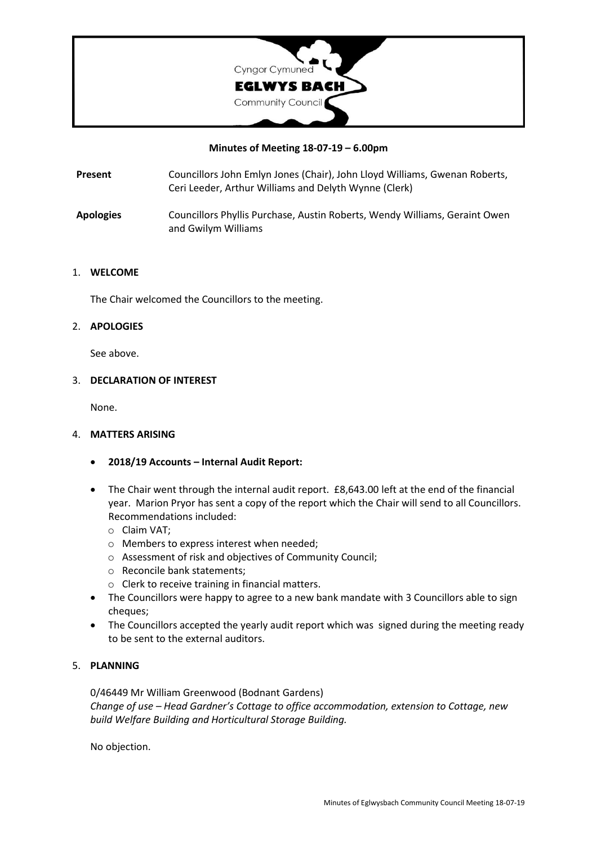

#### **Minutes of Meeting 18-07-19 – 6.00pm**

**Present** Councillors John Emlyn Jones (Chair), John Lloyd Williams, Gwenan Roberts, Ceri Leeder, Arthur Williams and Delyth Wynne (Clerk)

**Apologies** Councillors Phyllis Purchase, Austin Roberts, Wendy Williams, Geraint Owen and Gwilym Williams

#### 1. **WELCOME**

The Chair welcomed the Councillors to the meeting.

#### 2. **APOLOGIES**

See above.

#### 3. **DECLARATION OF INTEREST**

None.

## 4. **MATTERS ARISING**

- **2018/19 Accounts – Internal Audit Report:**
- The Chair went through the internal audit report. £8,643.00 left at the end of the financial year. Marion Pryor has sent a copy of the report which the Chair will send to all Councillors. Recommendations included:
	- o Claim VAT;
	- o Members to express interest when needed;
	- o Assessment of risk and objectives of Community Council;
	- o Reconcile bank statements;
	- o Clerk to receive training in financial matters.
- The Councillors were happy to agree to a new bank mandate with 3 Councillors able to sign cheques;
- The Councillors accepted the yearly audit report which was signed during the meeting ready to be sent to the external auditors.

## 5. **PLANNING**

0/46449 Mr William Greenwood (Bodnant Gardens) *Change of use – Head Gardner's Cottage to office accommodation, extension to Cottage, new build Welfare Building and Horticultural Storage Building.*

No objection.